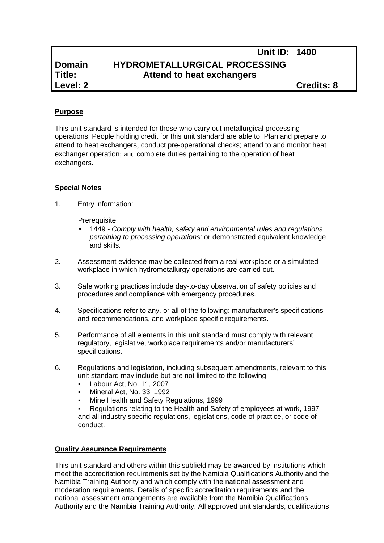# **Domain HYDROMETALLURGICAL PROCESSING Title: Attend to heat exchangers**

**Level: 2 Credits: 8**

**Unit ID: 1400**

# **Purpose**

This unit standard is intended for those who carry out metallurgical processing operations. People holding credit for this unit standard are able to: Plan and prepare to attend to heat exchangers; conduct pre-operational checks; attend to and monitor heat exchanger operation; and complete duties pertaining to the operation of heat exchangers.

## **Special Notes**

1. Entry information:

**Prerequisite** 

- 1449 *- Comply with health, safety and environmental rules and regulations pertaining to processing operations;* or demonstrated equivalent knowledge and skills.
- 2. Assessment evidence may be collected from a real workplace or a simulated workplace in which hydrometallurgy operations are carried out.
- 3. Safe working practices include day-to-day observation of safety policies and procedures and compliance with emergency procedures.
- 4. Specifications refer to any, or all of the following: manufacturer's specifications and recommendations, and workplace specific requirements.
- 5. Performance of all elements in this unit standard must comply with relevant regulatory, legislative, workplace requirements and/or manufacturers' specifications.
- 6. Regulations and legislation, including subsequent amendments, relevant to this unit standard may include but are not limited to the following:
	- Labour Act, No. 11, 2007
	- Mineral Act, No. 33, 1992
	- Mine Health and Safety Regulations, 1999

 Regulations relating to the Health and Safety of employees at work, 1997 and all industry specific regulations, legislations, code of practice, or code of conduct.

#### **Quality Assurance Requirements**

This unit standard and others within this subfield may be awarded by institutions which meet the accreditation requirements set by the Namibia Qualifications Authority and the Namibia Training Authority and which comply with the national assessment and moderation requirements. Details of specific accreditation requirements and the national assessment arrangements are available from the Namibia Qualifications Authority and the Namibia Training Authority. All approved unit standards, qualifications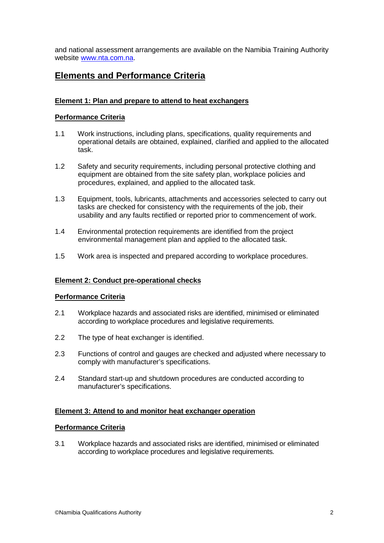and national assessment arrangements are available on the Namibia Training Authority website www.nta.com.na.

# **Elements and Performance Criteria**

## **Element 1: Plan and prepare to attend to heat exchangers**

### **Performance Criteria**

- 1.1 Work instructions, including plans, specifications, quality requirements and operational details are obtained, explained, clarified and applied to the allocated task.
- 1.2 Safety and security requirements, including personal protective clothing and equipment are obtained from the site safety plan, workplace policies and procedures, explained, and applied to the allocated task.
- 1.3 Equipment, tools, lubricants, attachments and accessories selected to carry out tasks are checked for consistency with the requirements of the job, their usability and any faults rectified or reported prior to commencement of work.
- 1.4 Environmental protection requirements are identified from the project environmental management plan and applied to the allocated task.
- 1.5 Work area is inspected and prepared according to workplace procedures.

#### **Element 2: Conduct pre-operational checks**

#### **Performance Criteria**

- 2.1 Workplace hazards and associated risks are identified, minimised or eliminated according to workplace procedures and legislative requirements.
- 2.2 The type of heat exchanger is identified.
- 2.3 Functions of control and gauges are checked and adjusted where necessary to comply with manufacturer's specifications.
- 2.4 Standard start-up and shutdown procedures are conducted according to manufacturer's specifications.

#### **Element 3: Attend to and monitor heat exchanger operation**

#### **Performance Criteria**

3.1 Workplace hazards and associated risks are identified, minimised or eliminated according to workplace procedures and legislative requirements.